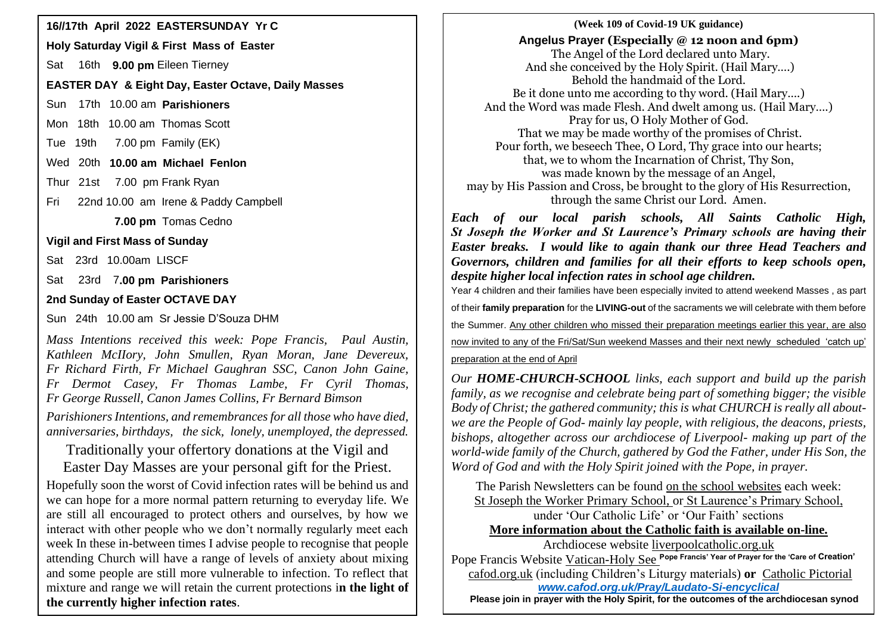**Holy Saturday Vigil & First Mass of Easter**

Sat 16th **9.00 pm** Eileen Tierney

## **EASTER DAY & Eight Day, Easter Octave, Daily Masses**

Sun 17th 10.00 am **Parishioners**

Mon 18th 10.00 am Thomas Scott

Tue 19th 7.00 pm Family (EK)

Wed 20th **10.00 am Michael Fenlon**

Thur 21st 7.00 pm Frank Ryan

Fri 22nd 10.00 am Irene & Paddy Campbell

 **7.00 pm** Tomas Cedno

**Vigil and First Mass of Sunday**

Sat 23rd 10.00am LISCF

Sat 23rd 7**.00 pm Parishioners**

## **2nd Sunday of Easter OCTAVE DAY**

Sun 24th 10.00 am Sr Jessie D'Souza DHM

*Mass Intentions received this week: Pope Francis, Paul Austin, Kathleen McIIory, John Smullen, Ryan Moran, Jane Devereux, Fr Richard Firth, Fr Michael Gaughran SSC, Canon John Gaine, Fr Dermot Casey, Fr Thomas Lambe, Fr Cyril Thomas, Fr George Russell, Canon James Collins, Fr Bernard Bimson*

*ParishionersIntentions, and remembrances for all those who have died, anniversaries, birthdays, the sick, lonely, unemployed, the depressed.*

Traditionally your offertory donations at the Vigil and

Easter Day Masses are your personal gift for the Priest.

Hopefully soon the worst of Covid infection rates will be behind us and we can hope for a more normal pattern returning to everyday life. We are still all encouraged to protect others and ourselves, by how we interact with other people who we don't normally regularly meet each week In these in-between times I advise people to recognise that people attending Church will have a range of levels of anxiety about mixing and some people are still more vulnerable to infection. To reflect that mixture and range we will retain the current protections i**n the light of the currently higher infection rates**.

### **16//17th April 2022 EASTERSUNDAY Yr C 16//17th April 2022 EASTERSUNDAY Yr C** (Week 109 of Covid-19 UK guidance) **Angelus Prayer (Especially @ 12 noon and 6pm)** The Angel of the Lord declared unto Mary. And she conceived by the Holy Spirit. (Hail Mary….) Behold the handmaid of the Lord. Be it done unto me according to thy word. (Hail Mary….) And the Word was made Flesh. And dwelt among us. (Hail Mary….) Pray for us, O Holy Mother of God. That we may be made worthy of the promises of Christ. Pour forth, we beseech Thee, O Lord, Thy grace into our hearts; that, we to whom the Incarnation of Christ, Thy Son, was made known by the message of an Angel, may by His Passion and Cross, be brought to the glory of His Resurrection, through the same Christ our Lord. Amen.

*Each of our local parish schools, All Saints Catholic High, St Joseph the Worker and St Laurence's Primary schools are having their Easter breaks. I would like to again thank our three Head Teachers and Governors, children and families for all their efforts to keep schools open, despite higher local infection rates in school age children.*

Year 4 children and their families have been especially invited to attend weekend Masses , as part of their **family preparation** for the **LIVING-out** of the sacraments we will celebrate with them before the Summer. Any other children who missed their preparation meetings earlier this year, are also now invited to any of the Fri/Sat/Sun weekend Masses and their next newly scheduled 'catch up'

### preparation at the end of April

*Our HOME-CHURCH-SCHOOL links, each support and build up the parish family, as we recognise and celebrate being part of something bigger; the visible Body of Christ; the gathered community; this is what CHURCH is really all aboutwe are the People of God- mainly lay people, with religious, the deacons, priests, bishops, altogether across our archdiocese of Liverpool- making up part of the world-wide family of the Church, gathered by God the Father, under His Son, the Word of God and with the Holy Spirit joined with the Pope, in prayer.*

The Parish Newsletters can be found on the school websites each week: St Joseph the Worker Primary School, or St Laurence's Primary School, under 'Our Catholic Life' or 'Our Faith' sections **More information about the Catholic faith is available on-line.**

Archdiocese website [liverpoolcatholic.org.uk](http://liverpoolcatholic.org.uk/)

Pope Francis Website Vatican-Holy See **Pope Francis' Year of Prayer for the 'Care of Creation'** cafod.org.uk (including Children's Liturgy materials) **or** Catholic Pictorial *[www.cafod.org.uk/Pray/Laudato-Si-encyclical](http://www.cafod.org.uk/Pray/Laudato-Si-encyclical)*

 **Please join in prayer with the Holy Spirit, for the outcomes of the archdiocesan synod**